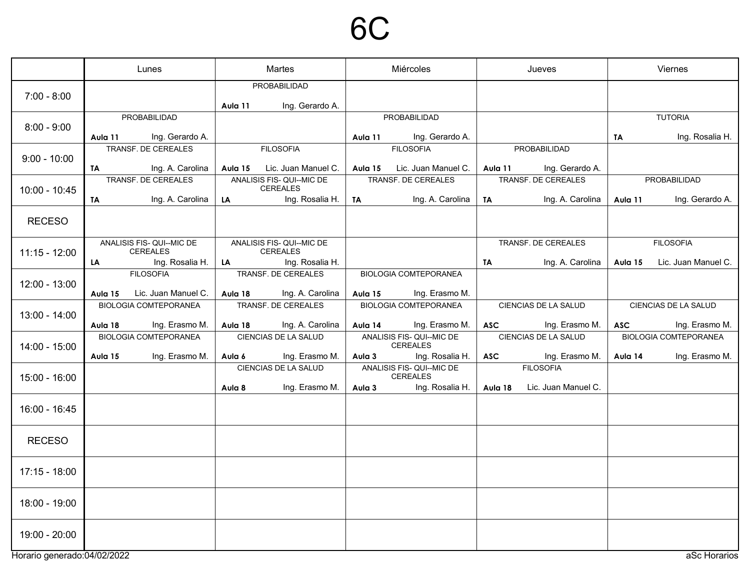#### 6C

|                             | Lunes     |                                                     | Martes  |                                                  | Miércoles |                                                | Jueves     |                                        | Viernes    |                              |
|-----------------------------|-----------|-----------------------------------------------------|---------|--------------------------------------------------|-----------|------------------------------------------------|------------|----------------------------------------|------------|------------------------------|
| $7:00 - 8:00$               |           |                                                     | Aula 11 | PROBABILIDAD<br>Ing. Gerardo A.                  |           |                                                |            |                                        |            |                              |
| $8:00 - 9:00$               |           | PROBABILIDAD                                        |         |                                                  |           | PROBABILIDAD                                   |            |                                        |            | <b>TUTORIA</b>               |
|                             | Aula 11   | Ing. Gerardo A.                                     |         |                                                  | Aula 11   | Ing. Gerardo A.                                |            |                                        | <b>TA</b>  | Ing. Rosalia H.              |
| $9:00 - 10:00$              |           | TRANSF. DE CEREALES                                 |         | <b>FILOSOFIA</b>                                 |           | <b>FILOSOFIA</b>                               |            | PROBABILIDAD                           |            |                              |
|                             | <b>TA</b> | Ing. A. Carolina<br>TRANSF. DE CEREALES             | Aula 15 | Lic. Juan Manuel C.<br>ANALISIS FIS- QUI--MIC DE | Aula 15   | Lic. Juan Manuel C.<br>TRANSF. DE CEREALES     | Aula 11    | Ing. Gerardo A.<br>TRANSF. DE CEREALES |            | PROBABILIDAD                 |
| $10:00 - 10:45$             |           |                                                     |         | <b>CEREALES</b>                                  |           |                                                |            |                                        |            |                              |
|                             | TA        | Ing. A. Carolina                                    | LA      | Ing. Rosalia H.                                  | TA        | Ing. A. Carolina                               | <b>TA</b>  | Ing. A. Carolina                       | Aula 11    | Ing. Gerardo A.              |
| <b>RECESO</b>               |           |                                                     |         |                                                  |           |                                                |            |                                        |            |                              |
| $11:15 - 12:00$             |           | ANALISIS FIS- QUI--MIC DE<br><b>CEREALES</b>        |         | ANALISIS FIS- QUI--MIC DE<br>CEREALES            |           |                                                |            | TRANSF. DE CEREALES                    |            | <b>FILOSOFIA</b>             |
|                             | LA        | Ing. Rosalia H.                                     | LA      | Ing. Rosalia H.                                  |           |                                                | TA         | Ing. A. Carolina                       | Aula 15    | Lic. Juan Manuel C.          |
| 12:00 - 13:00               |           | <b>FILOSOFIA</b>                                    |         | TRANSF. DE CEREALES                              |           | <b>BIOLOGIA COMTEPORANEA</b>                   |            |                                        |            |                              |
|                             | Aula 15   | Lic. Juan Manuel C.<br><b>BIOLOGIA COMTEPORANEA</b> | Aula 18 | Ing. A. Carolina<br>TRANSF. DE CEREALES          | Aula 15   | Ing. Erasmo M.<br><b>BIOLOGIA COMTEPORANEA</b> |            | CIENCIAS DE LA SALUD                   |            | CIENCIAS DE LA SALUD         |
| 13:00 - 14:00               |           |                                                     |         |                                                  |           |                                                |            |                                        |            |                              |
|                             | Aula 18   | Ing. Erasmo M.                                      | Aula 18 | Ing. A. Carolina                                 | Aula 14   | Ing. Erasmo M.                                 | <b>ASC</b> | Ing. Erasmo M.                         | <b>ASC</b> | Ing. Erasmo M.               |
| 14:00 - 15:00               |           | <b>BIOLOGIA COMTEPORANEA</b>                        |         | <b>CIENCIAS DE LA SALUD</b>                      |           | ANALISIS FIS- QUI--MIC DE<br>CEREALES          |            | CIENCIAS DE LA SALUD                   |            | <b>BIOLOGIA COMTEPORANEA</b> |
|                             | Aula 15   | Ing. Erasmo M.                                      | Aula 6  | Ing. Erasmo M.                                   | Aula 3    | Ing. Rosalia H.                                | <b>ASC</b> | Ing. Erasmo M.                         | Aula 14    | Ing. Erasmo M.               |
| 15:00 - 16:00               |           |                                                     |         | CIENCIAS DE LA SALUD                             |           | ANALISIS FIS- QUI--MIC DE<br>CEREALES          |            | <b>FILOSOFIA</b>                       |            |                              |
|                             |           |                                                     | Aula 8  | Ing. Erasmo M.                                   | Aula 3    | Ing. Rosalia H.                                | Aula 18    | Lic. Juan Manuel C.                    |            |                              |
| 16:00 - 16:45               |           |                                                     |         |                                                  |           |                                                |            |                                        |            |                              |
| <b>RECESO</b>               |           |                                                     |         |                                                  |           |                                                |            |                                        |            |                              |
| $17:15 - 18:00$             |           |                                                     |         |                                                  |           |                                                |            |                                        |            |                              |
| 18:00 - 19:00               |           |                                                     |         |                                                  |           |                                                |            |                                        |            |                              |
| 19:00 - 20:00               |           |                                                     |         |                                                  |           |                                                |            |                                        |            |                              |
| Horario generado:04/02/2022 |           |                                                     |         |                                                  |           |                                                |            |                                        |            | aSc Horarios                 |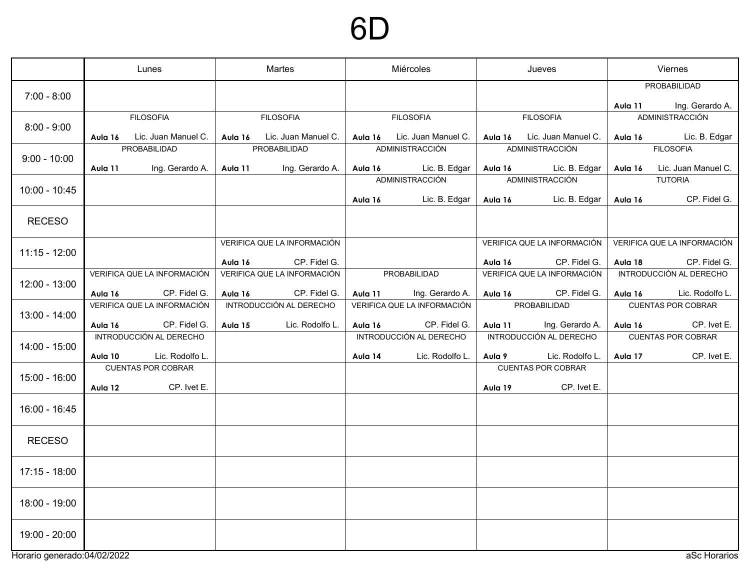## 6D

|                             |         | Lunes                                   |         | Martes                      | Miércoles |                             | Jueves  |                                                   | Viernes |                                |
|-----------------------------|---------|-----------------------------------------|---------|-----------------------------|-----------|-----------------------------|---------|---------------------------------------------------|---------|--------------------------------|
| $7:00 - 8:00$               |         |                                         |         |                             |           |                             |         |                                                   |         | PROBABILIDAD                   |
|                             |         |                                         |         |                             |           |                             |         |                                                   | Aula 11 | Ing. Gerardo A.                |
| $8:00 - 9:00$               |         | <b>FILOSOFIA</b>                        |         | <b>FILOSOFIA</b>            |           | <b>FILOSOFIA</b>            |         | <b>FILOSOFIA</b>                                  |         | ADMINISTRACCIÓN                |
|                             | Aula 16 | Lic. Juan Manuel C.                     |         | Aula 16 Lic. Juan Manuel C. | Aula 16   | Lic. Juan Manuel C.         | Aula 16 | Lic. Juan Manuel C.                               | Aula 16 | Lic. B. Edgar                  |
|                             |         | PROBABILIDAD                            |         | PROBABILIDAD                |           | ADMINISTRACCIÓN             |         | ADMINISTRACCIÓN                                   |         | <b>FILOSOFIA</b>               |
| $9:00 - 10:00$              | Aula 11 | Ing. Gerardo A.                         | Aula 11 | Ing. Gerardo A.             | Aula 16   | Lic. B. Edgar               | Aula 16 | Lic. B. Edgar                                     | Aula 16 | Lic. Juan Manuel C.            |
|                             |         |                                         |         |                             |           | ADMINISTRACCIÓN             |         | ADMINISTRACCIÓN                                   |         | <b>TUTORIA</b>                 |
| $10:00 - 10:45$             |         |                                         |         |                             |           |                             |         |                                                   |         |                                |
|                             |         |                                         |         |                             | Aula 16   | Lic. B. Edgar               | Aula 16 | Lic. B. Edgar                                     | Aula 16 | CP. Fidel G.                   |
| <b>RECESO</b>               |         |                                         |         |                             |           |                             |         |                                                   |         |                                |
|                             |         |                                         |         | VERIFICA QUE LA INFORMACIÓN |           |                             |         | VERIFICA QUE LA INFORMACIÓN                       |         | VERIFICA QUE LA INFORMACIÓN    |
| $11:15 - 12:00$             |         |                                         |         |                             |           |                             |         |                                                   |         |                                |
|                             |         |                                         | Aula 16 | CP. Fidel G.                |           |                             | Aula 16 | CP. Fidel G.                                      | Aula 18 | CP. Fidel G.                   |
| $12:00 - 13:00$             |         | VERIFICA QUE LA INFORMACIÓN             |         | VERIFICA QUE LA INFORMACIÓN |           | PROBABILIDAD                |         | VERIFICA QUE LA INFORMACIÓN                       |         | <b>INTRODUCCIÓN AL DERECHO</b> |
|                             | Aula 16 | CP. Fidel G.                            | Aula 16 | CP. Fidel G.                | Aula 11   | Ing. Gerardo A.             | Aula 16 | CP. Fidel G.                                      | Aula 16 | Lic. Rodolfo L.                |
|                             |         | VERIFICA QUE LA INFORMACIÓN             |         | INTRODUCCIÓN AL DERECHO     |           | VERIFICA QUE LA INFORMACIÓN |         | PROBABILIDAD                                      |         | <b>CUENTAS POR COBRAR</b>      |
| 13:00 - 14:00               |         |                                         |         |                             |           |                             |         |                                                   |         |                                |
|                             | Aula 16 | CP. Fidel G.<br>INTRODUCCIÓN AL DERECHO | Aula 15 | Lic. Rodolfo L.             | Aula 16   | CP. Fidel G.                | Aula 11 | Ing. Gerardo A.<br><b>INTRODUCCIÓN AL DERECHO</b> | Aula 16 | CP. Ivet E.                    |
| 14:00 - 15:00               |         |                                         |         |                             |           | INTRODUCCIÓN AL DERECHO     |         |                                                   |         | <b>CUENTAS POR COBRAR</b>      |
|                             | Aula 10 | Lic. Rodolfo L.                         |         |                             | Aula 14   | Lic. Rodolfo L.             | Aula 9  | Lic. Rodolfo L.                                   | Aula 17 | CP. Ivet E.                    |
|                             |         | <b>CUENTAS POR COBRAR</b>               |         |                             |           |                             |         | <b>CUENTAS POR COBRAR</b>                         |         |                                |
| $15:00 - 16:00$             |         |                                         |         |                             |           |                             |         |                                                   |         |                                |
|                             | Aula 12 | CP. Ivet E.                             |         |                             |           |                             | Aula 19 | CP. Ivet E.                                       |         |                                |
| 16:00 - 16:45               |         |                                         |         |                             |           |                             |         |                                                   |         |                                |
| <b>RECESO</b>               |         |                                         |         |                             |           |                             |         |                                                   |         |                                |
|                             |         |                                         |         |                             |           |                             |         |                                                   |         |                                |
| $17:15 - 18:00$             |         |                                         |         |                             |           |                             |         |                                                   |         |                                |
| 18:00 - 19:00               |         |                                         |         |                             |           |                             |         |                                                   |         |                                |
| 19:00 - 20:00               |         |                                         |         |                             |           |                             |         |                                                   |         |                                |
| Horario generado:04/02/2022 |         |                                         |         |                             |           |                             |         |                                                   |         | aSc Horarios                   |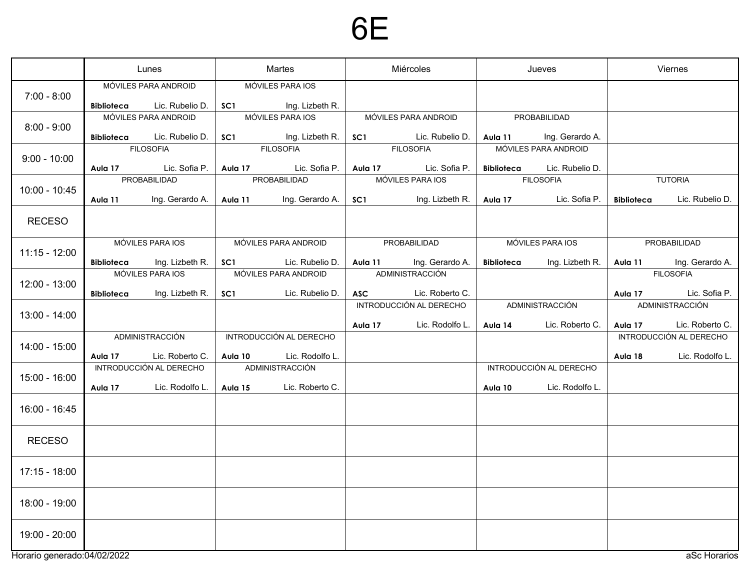## 6E

|                             | Lunes             |                                         | Martes          |                                     | Miércoles        |                                |                   | Jueves                  | Viernes           |                                |
|-----------------------------|-------------------|-----------------------------------------|-----------------|-------------------------------------|------------------|--------------------------------|-------------------|-------------------------|-------------------|--------------------------------|
| $7:00 - 8:00$               | <b>Biblioteca</b> | MÓVILES PARA ANDROID<br>Lic. Rubelio D. | SC <sub>1</sub> | MÓVILES PARA IOS<br>Ing. Lizbeth R. |                  |                                |                   |                         |                   |                                |
| $8:00 - 9:00$               |                   | MÓVILES PARA ANDROID                    |                 | MÓVILES PARA IOS                    |                  | MÓVILES PARA ANDROID           |                   | PROBABILIDAD            |                   |                                |
|                             | <b>Biblioteca</b> | Lic. Rubelio D.                         | SC <sub>1</sub> | Ing. Lizbeth R.                     | SC <sub>1</sub>  | Lic. Rubelio D.                | Aula 11           | Ing. Gerardo A.         |                   |                                |
| $9:00 - 10:00$              |                   | <b>FILOSOFIA</b>                        |                 | <b>FILOSOFIA</b>                    |                  | <b>FILOSOFIA</b>               |                   | MÓVILES PARA ANDROID    |                   |                                |
|                             | Aula 17           | Lic. Sofia P.                           | Aula 17         | Lic. Sofia P.                       | Aula 17          | Lic. Sofia P.                  | <b>Biblioteca</b> | Lic. Rubelio D.         |                   |                                |
| $10:00 - 10:45$             |                   | PROBABILIDAD                            | PROBABILIDAD    |                                     | MÓVILES PARA IOS |                                | <b>FILOSOFIA</b>  |                         |                   | <b>TUTORIA</b>                 |
|                             | Aula 11           | Ing. Gerardo A.                         | Aula 11         | Ing. Gerardo A.                     | SC <sub>1</sub>  | Ing. Lizbeth R.                | Aula 17           | Lic. Sofia P.           | <b>Biblioteca</b> | Lic. Rubelio D.                |
| <b>RECESO</b>               |                   |                                         |                 |                                     |                  |                                |                   |                         |                   |                                |
| $11:15 - 12:00$             | MÓVILES PARA IOS  |                                         |                 | MÓVILES PARA ANDROID                |                  | PROBABILIDAD                   |                   | MÓVILES PARA IOS        | PROBABILIDAD      |                                |
|                             | <b>Biblioteca</b> | Ing. Lizbeth R.                         | SC <sub>1</sub> | Lic. Rubelio D.                     | Aula 11          | Ing. Gerardo A.                | <b>Biblioteca</b> | Ing. Lizbeth R.         | Aula 11           | Ing. Gerardo A.                |
| $12:00 - 13:00$             |                   | MÓVILES PARA IOS                        |                 | MÓVILES PARA ANDROID                |                  | ADMINISTRACCIÓN                |                   |                         |                   | <b>FILOSOFIA</b>               |
|                             | <b>Biblioteca</b> | Ing. Lizbeth R.                         | SC <sub>1</sub> | Lic. Rubelio D.                     | <b>ASC</b>       | Lic. Roberto C.                |                   |                         | Aula 17           | Lic. Sofia P.                  |
|                             |                   |                                         |                 |                                     |                  | <b>INTRODUCCIÓN AL DERECHO</b> |                   | ADMINISTRACCIÓN         |                   | ADMINISTRACCIÓN                |
| $13:00 - 14:00$             |                   |                                         |                 |                                     | Aula 17          | Lic. Rodolfo L.                | Aula 14           | Lic. Roberto C.         | Aula 17           | Lic. Roberto C.                |
| $14:00 - 15:00$             |                   | ADMINISTRACCIÓN                         |                 | INTRODUCCIÓN AL DERECHO             |                  |                                |                   |                         |                   | <b>INTRODUCCIÓN AL DERECHO</b> |
|                             | Aula 17           | Lic. Roberto C.                         | Aula 10         | Lic. Rodolfo L.                     |                  |                                |                   |                         | Aula 18           | Lic. Rodolfo L.                |
|                             |                   | INTRODUCCIÓN AL DERECHO                 |                 | ADMINISTRACCIÓN                     |                  |                                |                   | INTRODUCCIÓN AL DERECHO |                   |                                |
| 15:00 - 16:00               | Aula 17           | Lic. Rodolfo L.                         | Aula 15         | Lic. Roberto C.                     |                  |                                | Aula 10           | Lic. Rodolfo L.         |                   |                                |
| 16:00 - 16:45               |                   |                                         |                 |                                     |                  |                                |                   |                         |                   |                                |
| <b>RECESO</b>               |                   |                                         |                 |                                     |                  |                                |                   |                         |                   |                                |
| 17:15 - 18:00               |                   |                                         |                 |                                     |                  |                                |                   |                         |                   |                                |
| 18:00 - 19:00               |                   |                                         |                 |                                     |                  |                                |                   |                         |                   |                                |
| 19:00 - 20:00               |                   |                                         |                 |                                     |                  |                                |                   |                         |                   |                                |
| Horario generado:04/02/2022 |                   |                                         |                 |                                     |                  |                                |                   |                         |                   | aSc Horarios                   |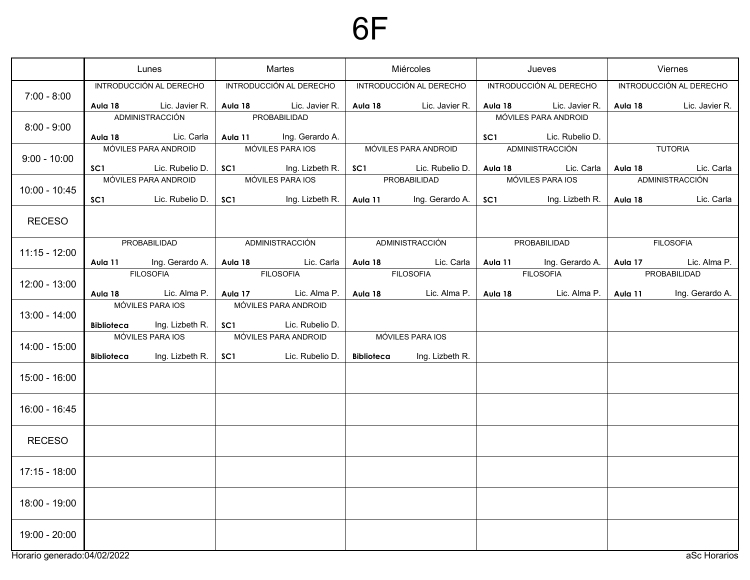# 6F

|                             | Lunes                |                               | Martes          |                             | Miércoles  |                         |                      | Jueves                                                        | Viernes          |                             |  |
|-----------------------------|----------------------|-------------------------------|-----------------|-----------------------------|------------|-------------------------|----------------------|---------------------------------------------------------------|------------------|-----------------------------|--|
|                             |                      | INTRODUCCIÓN AL DERECHO       |                 | INTRODUCCIÓN AL DERECHO     |            | INTRODUCCIÓN AL DERECHO |                      | INTRODUCCIÓN AL DERECHO                                       |                  | INTRODUCCIÓN AL DERECHO     |  |
| $7:00 - 8:00$               |                      | <b>Aula 18</b> Lic. Javier R. |                 | Aula 18 Lic. Javier R.      |            | Aula 18 Lic. Javier R.  |                      | Aula 18 Lic. Javier R.                                        |                  | Aula 18 Lic. Javier R.      |  |
| $8:00 - 9:00$               | ADMINISTRACCIÓN      |                               |                 | PROBABILIDAD                |            |                         | MÓVILES PARA ANDROID |                                                               |                  |                             |  |
|                             |                      | Aula 18 Lic. Carla            |                 | Aula 11 Ing. Gerardo A.     |            |                         | SC <sub>1</sub>      | Lic. Rubelio D.                                               |                  |                             |  |
| $9:00 - 10:00$              |                      | MÓVILES PARA ANDROID          |                 | MÓVILES PARA IOS            |            | MÓVILES PARA ANDROID    |                      | ADMINISTRACCIÓN                                               |                  | TUTORIA                     |  |
|                             |                      | SC1 Lic. Rubelio D.           | SC <sub>1</sub> | Ing. Lizbeth R. $\parallel$ |            |                         |                      | SC1 Lic. Rubelio D.   Aula 18 Lic. Carla   Aula 18 Lic. Carla |                  |                             |  |
|                             | MÓVILES PARA ANDROID |                               |                 | MÓVILES PARA IOS            |            | PROBABILIDAD            | MÓVILES PARA IOS     |                                                               | ADMINISTRACCIÓN  |                             |  |
| $10:00 - 10:45$             |                      | <b>SC1</b> Lic. Rubelio D.    | SC <sub>1</sub> | Ing. Lizbeth R.             |            | Aula 11 Ing. Gerardo A. |                      | <b>SC1</b> Ing. Lizbeth R.                                    | Aula 18          | Lic. Carla                  |  |
| <b>RECESO</b>               |                      |                               |                 |                             |            |                         |                      |                                                               |                  |                             |  |
|                             |                      |                               |                 |                             |            |                         |                      |                                                               |                  |                             |  |
| $11:15 - 12:00$             |                      | PROBABILIDAD                  |                 | ADMINISTRACCIÓN             |            | ADMINISTRACCIÓN         |                      | PROBABILIDAD                                                  | <b>FILOSOFIA</b> |                             |  |
|                             |                      | Aula 11 Ing. Gerardo A.       |                 | Aula 18 Lic. Carla          |            | Aula 18 Lic. Carla      |                      | Aula 11 Ing. Gerardo A.                                       |                  | <b>Aula 17</b> Lic. Alma P. |  |
| $12:00 - 13:00$             |                      | <b>FILOSOFIA</b>              |                 | <b>FILOSOFIA</b>            |            | <b>FILOSOFIA</b>        |                      | <b>FILOSOFIA</b>                                              |                  | PROBABILIDAD                |  |
|                             |                      | Aula 18 Lic. Alma P.          |                 | Aula 17 Lic. Alma P.        |            | Aula 18 Lic. Alma P.    |                      | Aula 18 Lic. Alma P.                                          | Aula 11          | Ing. Gerardo A.             |  |
| $13:00 - 14:00$             |                      | MÓVILES PARA IOS              |                 | MÓVILES PARA ANDROID        |            |                         |                      |                                                               |                  |                             |  |
|                             |                      | Biblioteca Ing. Lizbeth R.    |                 | SC1 Lic. Rubelio D.         |            |                         |                      |                                                               |                  |                             |  |
| $14:00 - 15:00$             |                      | MÓVILES PARA IOS              |                 | MÓVILES PARA ANDROID        |            | MÓVILES PARA IOS        |                      |                                                               |                  |                             |  |
|                             | Biblioteca           | Ing. Lizbeth R.               | SC <sub>1</sub> | Lic. Rubelio D.             | Biblioteca | Ing. Lizbeth R.         |                      |                                                               |                  |                             |  |
| $15:00 - 16:00$             |                      |                               |                 |                             |            |                         |                      |                                                               |                  |                             |  |
|                             |                      |                               |                 |                             |            |                         |                      |                                                               |                  |                             |  |
| 16:00 - 16:45               |                      |                               |                 |                             |            |                         |                      |                                                               |                  |                             |  |
|                             |                      |                               |                 |                             |            |                         |                      |                                                               |                  |                             |  |
| <b>RECESO</b>               |                      |                               |                 |                             |            |                         |                      |                                                               |                  |                             |  |
|                             |                      |                               |                 |                             |            |                         |                      |                                                               |                  |                             |  |
| $17:15 - 18:00$             |                      |                               |                 |                             |            |                         |                      |                                                               |                  |                             |  |
|                             |                      |                               |                 |                             |            |                         |                      |                                                               |                  |                             |  |
| 18:00 - 19:00               |                      |                               |                 |                             |            |                         |                      |                                                               |                  |                             |  |
|                             |                      |                               |                 |                             |            |                         |                      |                                                               |                  |                             |  |
| 19:00 - 20:00               |                      |                               |                 |                             |            |                         |                      |                                                               |                  |                             |  |
|                             |                      |                               |                 |                             |            |                         |                      |                                                               |                  |                             |  |
| Horario generado:04/02/2022 |                      |                               |                 |                             |            |                         |                      |                                                               |                  | aSc Horarios                |  |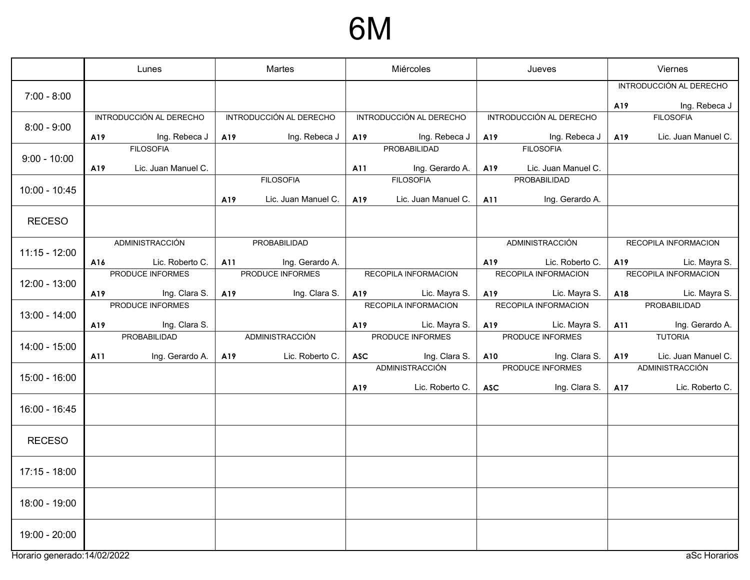### 6M

|                              | Lunes |                         | Martes |                         | Miércoles |                                     | Jueves     |                                     | Viernes |                                                 |
|------------------------------|-------|-------------------------|--------|-------------------------|-----------|-------------------------------------|------------|-------------------------------------|---------|-------------------------------------------------|
| $7:00 - 8:00$                |       |                         |        |                         |           |                                     |            |                                     | A19     | INTRODUCCIÓN AL DERECHO<br><b>Ing. Rebeca J</b> |
|                              |       | INTRODUCCIÓN AL DERECHO |        | INTRODUCCIÓN AL DERECHO |           | INTRODUCCIÓN AL DERECHO             |            | INTRODUCCIÓN AL DERECHO             |         | <b>FILOSOFIA</b>                                |
| $8:00 - 9:00$                | A19   | Ing. Rebeca J           | A19    | Ing. Rebeca J           | A19       | Ing. Rebeca J                       | A19        | Ing. Rebeca J                       | A19     | Lic. Juan Manuel C.                             |
| $9:00 - 10:00$               |       | <b>FILOSOFIA</b>        |        |                         |           | PROBABILIDAD                        |            | <b>FILOSOFIA</b>                    |         |                                                 |
|                              | A19   | Lic. Juan Manuel C.     |        | <b>FILOSOFIA</b>        | A11       | Ing. Gerardo A.<br><b>FILOSOFIA</b> | A19        | Lic. Juan Manuel C.<br>PROBABILIDAD |         |                                                 |
| $10:00 - 10:45$              |       |                         | A19    | Lic. Juan Manuel C.     | A19       | Lic. Juan Manuel C.                 | A11        | Ing. Gerardo A.                     |         |                                                 |
|                              |       |                         |        |                         |           |                                     |            |                                     |         |                                                 |
| <b>RECESO</b>                |       |                         |        |                         |           |                                     |            |                                     |         |                                                 |
| $11:15 - 12:00$              |       | ADMINISTRACCIÓN         |        | PROBABILIDAD            |           |                                     |            | ADMINISTRACCIÓN                     |         | RECOPILA INFORMACION                            |
|                              | A16   | Lic. Roberto C.         |        | Ing. Gerardo A.<br>A11  |           |                                     | A19        | Lic. Roberto C.                     | A19     | Lic. Mayra S.                                   |
| $12:00 - 13:00$              |       | PRODUCE INFORMES        |        | PRODUCE INFORMES        |           | RECOPILA INFORMACION                |            | RECOPILA INFORMACION                |         | RECOPILA INFORMACION                            |
|                              | A19   | <b>Ing. Clara S.</b>    | A19    | Ing. Clara S.           |           | Lic. Mayra S.<br>A19                |            | A19 Lic. Mayra S.                   |         | Lic. Mayra S.<br>A18                            |
| 13:00 - 14:00                |       | PRODUCE INFORMES        |        |                         |           | RECOPILA INFORMACION                |            | RECOPILA INFORMACION                |         | PROBABILIDAD                                    |
|                              | A19   | Ing. Clara S.           |        |                         | A19       | Lic. Mayra S.                       | A19        | Lic. Mayra S.                       | A11     | Ing. Gerardo A.                                 |
| 14:00 - 15:00                |       | PROBABILIDAD            |        | ADMINISTRACCIÓN         |           | PRODUCE INFORMES                    |            | PRODUCE INFORMES                    |         | <b>TUTORIA</b>                                  |
|                              | A11   | Ing. Gerardo A.         | A19    | Lic. Roberto C.         |           | ASC Ing. Clara S.                   |            | A10 Ing. Clara S.                   | A19     | Lic. Juan Manuel C.                             |
| 15:00 - 16:00                |       |                         |        |                         |           | ADMINISTRACCIÓN                     |            | PRODUCE INFORMES                    |         | <b>ADMINISTRACCIÓN</b>                          |
|                              |       |                         |        |                         | A19       | Lic. Roberto C.                     | <b>ASC</b> | Ing. Clara S.                       | A17     | Lic. Roberto C.                                 |
| 16:00 - 16:45                |       |                         |        |                         |           |                                     |            |                                     |         |                                                 |
| <b>RECESO</b>                |       |                         |        |                         |           |                                     |            |                                     |         |                                                 |
| $17:15 - 18:00$              |       |                         |        |                         |           |                                     |            |                                     |         |                                                 |
| 18:00 - 19:00                |       |                         |        |                         |           |                                     |            |                                     |         |                                                 |
| 19:00 - 20:00                |       |                         |        |                         |           |                                     |            |                                     |         |                                                 |
| Horario generado: 14/02/2022 |       |                         |        |                         |           |                                     |            |                                     |         | aSc Horarios                                    |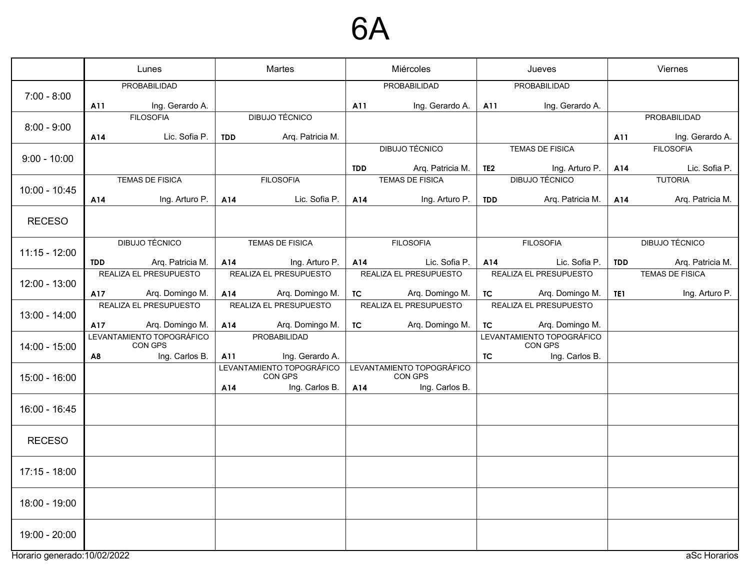### 6A

|                              | Lunes      |                                      | Martes     |                                      | Miércoles  |                                      | Jueves          |                                      | Viernes    |                        |
|------------------------------|------------|--------------------------------------|------------|--------------------------------------|------------|--------------------------------------|-----------------|--------------------------------------|------------|------------------------|
|                              |            | PROBABILIDAD                         |            |                                      |            | PROBABILIDAD                         |                 | PROBABILIDAD                         |            |                        |
| $7:00 - 8:00$                | A11        | Ing. Gerardo A.                      |            |                                      | A11        | Ing. Gerardo A.                      | A11             | Ing. Gerardo A.                      |            |                        |
|                              |            | <b>FILOSOFIA</b>                     |            | DIBUJO TÉCNICO                       |            |                                      |                 |                                      |            | PROBABILIDAD           |
| $8:00 - 9:00$                | A14        | Lic. Sofia P.                        | <b>TDD</b> | Arq. Patricia M.                     |            |                                      |                 |                                      | A11        | Ing. Gerardo A.        |
|                              |            |                                      |            |                                      |            | <b>DIBUJO TÉCNICO</b>                |                 | <b>TEMAS DE FISICA</b>               |            | <b>FILOSOFIA</b>       |
| $9:00 - 10:00$               |            |                                      |            |                                      | <b>TDD</b> | Arq. Patricia M.                     | TE <sub>2</sub> | Ing. Arturo P.                       | A14        | Lic. Sofia P.          |
|                              |            | TEMAS DE FISICA                      |            | <b>FILOSOFIA</b>                     |            | <b>TEMAS DE FISICA</b>               |                 | <b>DIBUJO TÉCNICO</b>                |            | <b>TUTORIA</b>         |
| $10:00 - 10:45$              | A14        | Ing. Arturo P.                       | A14        | Lic. Sofia P.                        | A14        | Ing. Arturo P.                       | <b>TDD</b>      | Arq. Patricia M.                     | A14        | Arq. Patricia M.       |
| <b>RECESO</b>                |            |                                      |            |                                      |            |                                      |                 |                                      |            |                        |
|                              |            |                                      |            |                                      |            |                                      |                 |                                      |            |                        |
| $11:15 - 12:00$              |            | DIBUJO TÉCNICO                       |            | <b>TEMAS DE FISICA</b>               |            | <b>FILOSOFIA</b>                     |                 | <b>FILOSOFIA</b>                     |            | DIBUJO TÉCNICO         |
|                              | <b>TDD</b> | Arq. Patricia M.                     | A14        | Ing. Arturo P.                       | A14        | Lic. Sofia P.                        | A14             | Lic. Sofia P.                        | <b>TDD</b> | Arq. Patricia M.       |
| 12:00 - 13:00                |            | REALIZA EL PRESUPUESTO               |            | REALIZA EL PRESUPUESTO               |            | REALIZA EL PRESUPUESTO               |                 | REALIZA EL PRESUPUESTO               |            | <b>TEMAS DE FISICA</b> |
|                              | A17        | Arq. Domingo M.                      | A14        | Arq. Domingo M.                      | TC         | Arq. Domingo M.                      | TC              | Arq. Domingo M.                      | TE1        | Ing. Arturo P.         |
|                              |            | REALIZA EL PRESUPUESTO               |            | REALIZA EL PRESUPUESTO               |            | REALIZA EL PRESUPUESTO               |                 | REALIZA EL PRESUPUESTO               |            |                        |
| 13:00 - 14:00                | A17        | Arq. Domingo M.                      | A14        | Arq. Domingo M.                      | <b>TC</b>  | Arq. Domingo M.                      | TC              | Arq. Domingo M.                      |            |                        |
| $14:00 - 15:00$              |            | LEVANTAMIENTO TOPOGRÁFICO<br>CON GPS |            | PROBABILIDAD                         |            |                                      |                 | LEVANTAMIENTO TOPOGRÁFICO<br>CON GPS |            |                        |
|                              | A8         | Ing. Carlos B.                       | A11        | Ing. Gerardo A.                      |            |                                      | TC.             | Ing. Carlos B.                       |            |                        |
| 15:00 - 16:00                |            |                                      |            | LEVANTAMIENTO TOPOGRÁFICO<br>CON GPS |            | LEVANTAMIENTO TOPOGRÁFICO<br>CON GPS |                 |                                      |            |                        |
|                              |            |                                      | A14        | Ing. Carlos B.                       | A14        | Ing. Carlos B.                       |                 |                                      |            |                        |
| 16:00 - 16:45                |            |                                      |            |                                      |            |                                      |                 |                                      |            |                        |
|                              |            |                                      |            |                                      |            |                                      |                 |                                      |            |                        |
| <b>RECESO</b>                |            |                                      |            |                                      |            |                                      |                 |                                      |            |                        |
| $17:15 - 18:00$              |            |                                      |            |                                      |            |                                      |                 |                                      |            |                        |
|                              |            |                                      |            |                                      |            |                                      |                 |                                      |            |                        |
| 18:00 - 19:00                |            |                                      |            |                                      |            |                                      |                 |                                      |            |                        |
| 19:00 - 20:00                |            |                                      |            |                                      |            |                                      |                 |                                      |            |                        |
| Horario generado: 10/02/2022 |            |                                      |            |                                      |            |                                      |                 |                                      |            | aSc Horarios           |